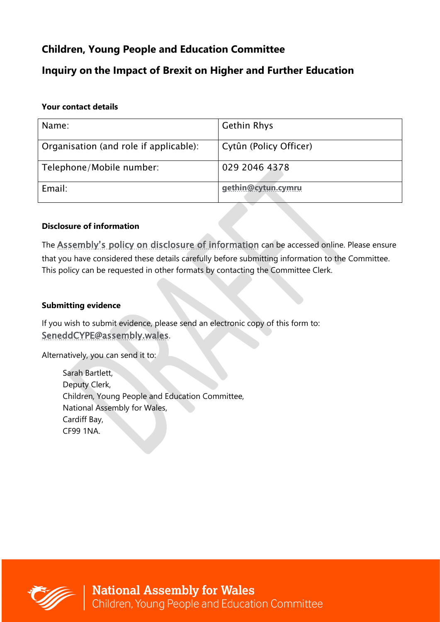# **Children, Young People and Education Committee**

# **Inquiry on the Impact of Brexit on Higher and Further Education**

### **Your contact details**

| Name:                                  | <b>Gethin Rhys</b>     |
|----------------------------------------|------------------------|
|                                        |                        |
|                                        |                        |
|                                        |                        |
| Organisation (and role if applicable): | Cytûn (Policy Officer) |
|                                        |                        |
|                                        |                        |
|                                        | 029 2046 4378          |
| Telephone/Mobile number:               |                        |
|                                        |                        |
|                                        |                        |
| Email:                                 | gethin@cytun.cymru     |
|                                        |                        |
|                                        |                        |

## **Disclosure of information**

The **[Assembly's policy on disclosure of information](http://www.assemblywales.org/help/privacy/help-inquiry-privacy.htm)** can be accessed online. Please ensure that you have considered these details carefully before submitting information to the Committee. This policy can be requested in other formats by contacting the Committee Clerk.

## **Submitting evidence**

If you wish to submit evidence, please send an electronic copy of this form to: [SeneddCYPE@assembly.wales](mailto:SeneddCYPE@assembly.wales).

Alternatively, you can send it to:

Sarah Bartlett, Deputy Clerk, Children, Young People and Education Committee, National Assembly for Wales, Cardiff Bay, CF99 1NA.

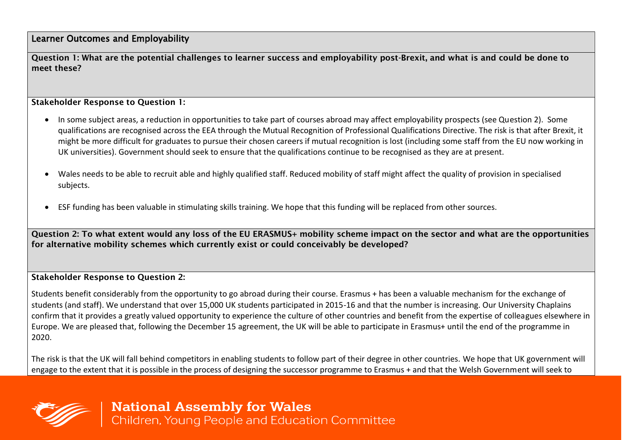Learner Outcomes and Employability

Question 1: What are the potential challenges to learner success and employability post-Brexit, and what is and could be done to meet these?

#### Stakeholder Response to Question 1:

- In some subject areas, a reduction in opportunities to take part of courses abroad may affect employability prospects (see Question 2). Some qualifications are recognised across the EEA through the Mutual Recognition of Professional Qualifications Directive. The risk is that after Brexit, it might be more difficult for graduates to pursue their chosen careers if mutual recognition is lost (including some staff from the EU now working in UK universities). Government should seek to ensure that the qualifications continue to be recognised as they are at present.
- Wales needs to be able to recruit able and highly qualified staff. Reduced mobility of staff might affect the quality of provision in specialised subjects.
- ESF funding has been valuable in stimulating skills training. We hope that this funding will be replaced from other sources.

Question 2: To what extent would any loss of the EU ERASMUS+ mobility scheme impact on the sector and what are the opportunities for alternative mobility schemes which currently exist or could conceivably be developed?

#### Stakeholder Response to Question 2:

Students benefit considerably from the opportunity to go abroad during their course. Erasmus + has been a valuable mechanism for the exchange of students (and staff). We understand that over 15,000 UK students participated in 2015-16 and that the number is increasing. Our University Chaplains confirm that it provides a greatly valued opportunity to experience the culture of other countries and benefit from the expertise of colleagues elsewhere in Europe. We are pleased that, following the December 15 agreement, the UK will be able to participate in Erasmus+ until the end of the programme in 2020.

The risk is that the UK will fall behind competitors in enabling students to follow part of their degree in other countries. We hope that UK government will engage to the extent that it is possible in the process of designing the successor programme to Erasmus + and that the Welsh Government will seek to



**National Assembly for Wales**<br>Children, Young People and Education Committee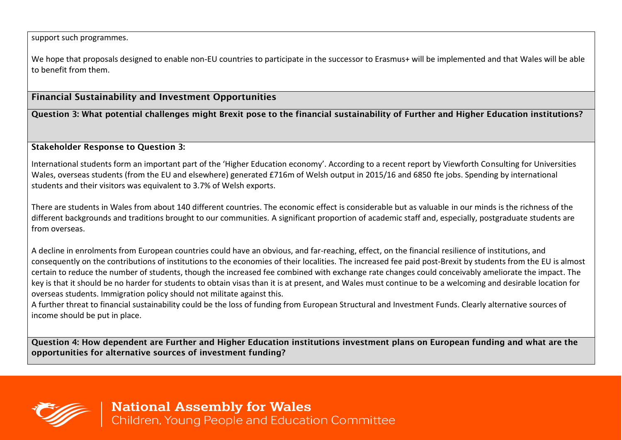support such programmes.

We hope that proposals designed to enable non-EU countries to participate in the successor to Erasmus+ will be implemented and that Wales will be able to benefit from them.

# Financial Sustainability and Investment Opportunities

Question 3: What potential challenges might Brexit pose to the financial sustainability of Further and Higher Education institutions?

#### Stakeholder Response to Question 3:

International students form an important part of the 'Higher Education economy'. According to a recent report by Viewforth Consulting for Universities Wales, overseas students (from the EU and elsewhere) generated £716m of Welsh output in 2015/16 and 6850 fte jobs. Spending by international students and their visitors was equivalent to 3.7% of Welsh exports.

There are students in Wales from about 140 different countries. The economic effect is considerable but as valuable in our minds is the richness of the different backgrounds and traditions brought to our communities. A significant proportion of academic staff and, especially, postgraduate students are from overseas.

A decline in enrolments from European countries could have an obvious, and far-reaching, effect, on the financial resilience of institutions, and consequently on the contributions of institutions to the economies of their localities. The increased fee paid post-Brexit by students from the EU is almost certain to reduce the number of students, though the increased fee combined with exchange rate changes could conceivably ameliorate the impact. The key is that it should be no harder for students to obtain visas than it is at present, and Wales must continue to be a welcoming and desirable location for overseas students. Immigration policy should not militate against this.

A further threat to financial sustainability could be the loss of funding from European Structural and Investment Funds. Clearly alternative sources of income should be put in place.

Question 4: How dependent are Further and Higher Education institutions investment plans on European funding and what are the opportunities for alternative sources of investment funding?



**National Assembly for Wales**<br>Children, Young People and Education Committee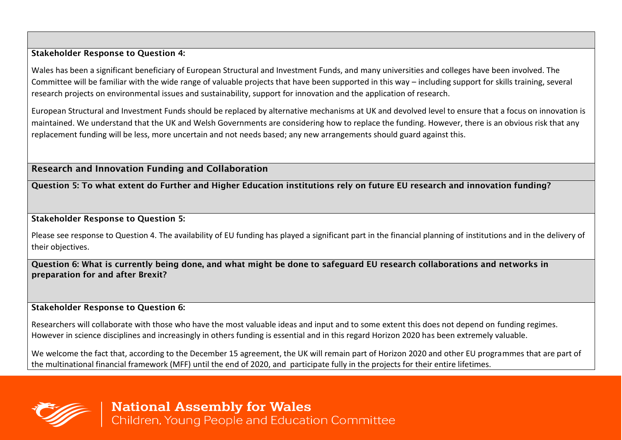Stakeholder Response to Question 4:

Wales has been a significant beneficiary of European Structural and Investment Funds, and many universities and colleges have been involved. The Committee will be familiar with the wide range of valuable projects that have been supported in this way – including support for skills training, several research projects on environmental issues and sustainability, support for innovation and the application of research.

European Structural and Investment Funds should be replaced by alternative mechanisms at UK and devolved level to ensure that a focus on innovation is maintained. We understand that the UK and Welsh Governments are considering how to replace the funding. However, there is an obvious risk that any replacement funding will be less, more uncertain and not needs based; any new arrangements should guard against this.

Research and Innovation Funding and Collaboration

Question 5: To what extent do Further and Higher Education institutions rely on future EU research and innovation funding?

Stakeholder Response to Question 5:

Please see response to Question 4. The availability of EU funding has played a significant part in the financial planning of institutions and in the delivery of their objectives.

Question 6: What is currently being done, and what might be done to safeguard EU research collaborations and networks in preparation for and after Brexit?

Stakeholder Response to Question 6:

Researchers will collaborate with those who have the most valuable ideas and input and to some extent this does not depend on funding regimes. However in science disciplines and increasingly in others funding is essential and in this regard Horizon 2020 has been extremely valuable.

We welcome the fact that, according to the December 15 agreement, the UK will remain part of Horizon 2020 and other EU programmes that are part of the multinational financial framework (MFF) until the end of 2020, and participate fully in the projects for their entire lifetimes.